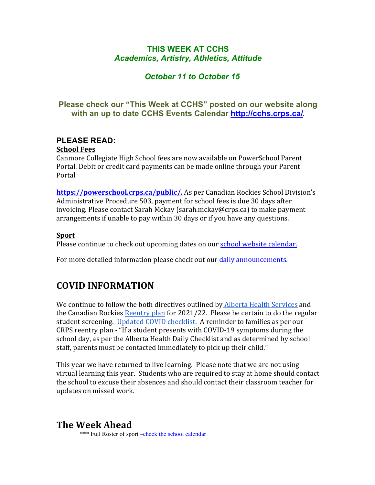## **THIS WEEK AT CCHS** *Academics, Artistry, Athletics, Attitude*

## *October 11 to October 15*

## **Please check our "This Week at CCHS" posted on our website along with an up to date CCHS Events Calendar<http://cchs.crps.ca/>**.

## **PLEASE READ:**

### **School Fees**

Canmore Collegiate High School fees are now available on PowerSchool Parent Portal. Debit or credit card payments can be made online through your Parent Portal

**[https://powerschool.crps.ca/public/.](https://powerschool.crps.ca/public/)** As per Canadian Rockies School Division's Administrative Procedure 503, payment for school fees is due 30 days after invoicing. Please contact Sarah Mckay (sarah.mckay@crps.ca) to make payment arrangements if unable to pay within 30 days or if you have any questions.

### **Sport**

Please continue to check out upcoming dates on our school website calendar.

For more detailed information please check out our daily announcements.

# **COVID INFORMATION**

We continue to follow the both directives outlined by Alberta Health Services and the Canadian Rockies Reentry plan for  $2021/22$ . Please be certain to do the regular student screening. Updated COVID checklist. A reminder to families as per our CRPS reentry plan - "If a student presents with COVID-19 symptoms during the school day, as per the Alberta Health Daily Checklist and as determined by school staff, parents must be contacted immediately to pick up their child."

This year we have returned to live learning. Please note that we are not using virtual learning this year. Students who are required to stay at home should contact the school to excuse their absences and should contact their classroom teacher for updates on missed work.

# **The Week Ahead**

\*\*\* Full Roster of sport [–check the school calendar](https://cchs.crps.ca/calendar)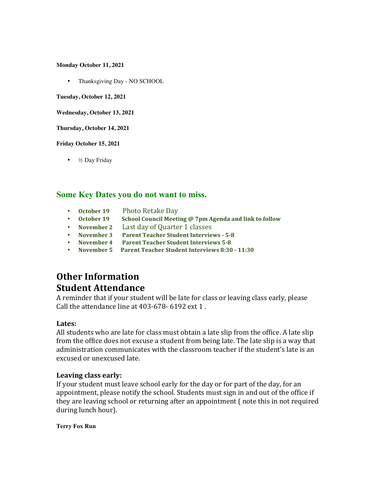**Monday October 11, 2021**

• Thanksgiving Day - NO SCHOOL

**Tuesday, October 12, 2021**

**Wednesday, October 13, 2021**

**Thursday, October 14, 2021**

**Friday October 15, 2021**

• ½ Day Friday

### **Some Key Dates you do not want to miss.**

- **October 19** Photo Retake Day<br>• October 19 School Council Meeti
- **School Council Meeting @ 7pm Agenda and link to follow**
- **November 2** Last day of Quarter 1 classes
- **November 3** Parent Teacher Student Interviews 5-8<br>• November 4 Parent Teacher Student Interviews 5-8
- **Parent Teacher Student Interviews 5-8**
- November 5 Parent Teacher Student Interviews 8:30 11:30

# **Other Information Student Attendance**

A reminder that if your student will be late for class or leaving class early, please Call the attendance line at 403-678- 6192 ext 1.

#### **Lates:**

All students who are late for class must obtain a late slip from the office. A late slip from the office does not excuse a student from being late. The late slip is a way that administration communicates with the classroom teacher if the student's late is an excused or unexcused late.

#### Leaving class early:

If your student must leave school early for the day or for part of the day, for an appointment, please notify the school. Students must sign in and out of the office if they are leaving school or returning after an appointment (note this in not required during lunch hour).

**Terry Fox Run**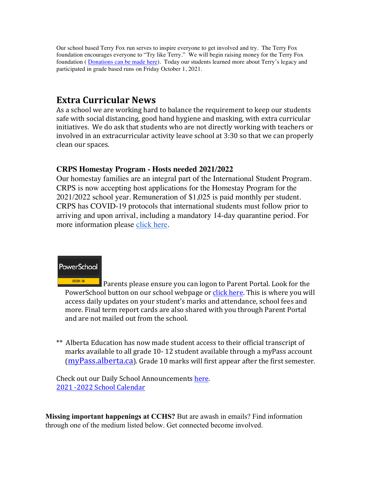Our school based Terry Fox run serves to inspire everyone to get involved and try. The Terry Fox foundation encourages everyone to "Try like Terry." We will begin raising money for the Terry Fox foundation ( [Donations can be made here](https://secure.terryfox.ca/registrant/TeamFundraisingPage.aspx?TeamID=951685)). Today our students learned more about Terry's legacy and participated in grade based runs on Friday October 1, 2021.

# **Extra Curricular News**

As a school we are working hard to balance the requirement to keep our students safe with social distancing, good hand hygiene and masking, with extra curricular initiatives. We do ask that students who are not directly working with teachers or involved in an extracurricular activity leave school at 3:30 so that we can properly clean our spaces.

## **CRPS Homestay Program - Hosts needed 2021/2022**

Our homestay families are an integral part of the International Student Program. CRPS is now accepting host applications for the Homestay Program for the 2021/2022 school year. Remuneration of \$1,025 is paid monthly per student. CRPS has COVID-19 protocols that international students must follow prior to arriving and upon arrival, including a mandatory 14-day quarantine period. For more information please [click here](https://crps.ca/Homestay Program.php).



Parents please ensure you can logon to Parent Portal. Look for the PowerSchool button on our school webpage or click here. This is where you will access daily updates on your student's marks and attendance, school fees and more. Final term report cards are also shared with you through Parent Portal and are not mailed out from the school.

\*\* Alberta Education has now made student access to their official transcript of marks available to all grade 10-12 student available through a myPass account  $(myPass.alberta.ca)$  $(myPass.alberta.ca)$ . Grade 10 marks will first appear after the first semester.

Check out our Daily School Announcements here. 2021 -2022 School Calendar

**Missing important happenings at CCHS?** But are awash in emails? Find information through one of the medium listed below. Get connected become involved.